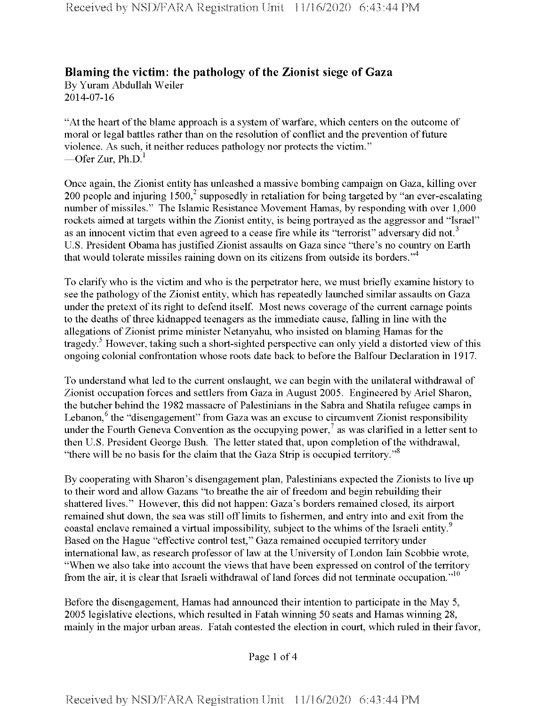## **Blaming the victim: the pathology ofthe Zionist siege of Gaza**

By Yuram Abdullah Weiler 2014-07-16

"At the heart of the blame approach is a system of warfare, which centers on the outcome of moral or legal battles rather than on the resolution of conflict and the prevention of future violence. As such, it neither reduces pathology nor protects the victim." —Ofer Zur, Ph.D. $^1$ 

Once again, the Zionist entity has unleashed a massive bombing campaign on Gaza, killing over 200 people and injuring  $1500<sup>2</sup>$  supposedly in retaliation for being targeted by "an ever-escalating number of missiles." The Islamic Resistance Movement Hamas, by responding with over 1,000 rockets aimed at targets within the Zionist entity, is being portrayed as the aggressor and "Israel" as an innocent victim that even agreed to a cease fire while its "terrorist" adversary did not.<sup>3</sup> U.S. President Obama has justified Zionist assaults on Gaza since "there's no country on Earth that would tolerate missiles raining down on its citizens from outside its borders."<sup>4</sup>

To clarify who is the victim and who is the perpetrator here, we must briefly examine history to see the pathology of the Zionist entity, which has repeatedly launched similar assaults on Gaza under the pretext of its right to defend itself. Most news coverage of the current carnage points to the deaths of three kidnapped teenagers as the immediate cause, falling in line with the allegations of Zionist prime minister Netanyahu, who insisted on blaming Hamas for the tragedy.<sup>5</sup> However, taking such a short-sighted perspective can only yield a distorted view of this ongoing colonial confrontation whose roots date back to before the Balfour Declaration in 1917.

To understand what led to the current onslaught, we can begin with the unilateral withdrawal of Zionist occupation forces and settlers from Gaza in August 2005. Engineered by Ariel Sharon, the butcher behind the 1982 massacre of Palestinians in the Sabra and Shatila refugee camps in Lebanon,<sup>6</sup> the "disengagement" from Gaza was an excuse to circumvent Zionist responsibility under the Fourth Geneva Convention as the occupying power,<sup>7</sup> as was clarified in a letter sent to then U.S. President George Bush. The letter stated that, upon completion of the withdrawal, "there will be no basis for the claim that the Gaza Strip is occupied territory."<sup>8</sup>

By cooperating with Sharon's disengagement plan, Palestinians expected the Zionists to live up to their word and allow Gazans "to breathe the air offreedom and begin rebuilding their shattered lives." However, this did not happen: Gaza's borders remained closed, its airport remained shut down, the sea was still off limits to fishermen, and entry into and exit from the coastal enclave remained a virtual impossibility, subject to the whims of the Israeli entity.<sup>9</sup> Based on the Hague "effective control test," Gaza remained occupied territory under international law, as research professor of law at the University of London Iain Scobbie wrote, "When we also take into account the views that have been expressed on control of the territory from the air, it is clear that Israeli withdrawal of land forces did not terminate occupation."<sup>10</sup>

Before the disengagement, Hamas had announced their intention to participate in the May 5, 2005 legislative elections, which resulted in Fatah winning 50 seats and Hamas winning 28, mainly in the major urban areas. Fatah contested the election in court, which ruled in their favor,

Page <sup>1</sup> of 4

Received by NSD/FARA Registration Unit 11/16/2020 6:43:44 PM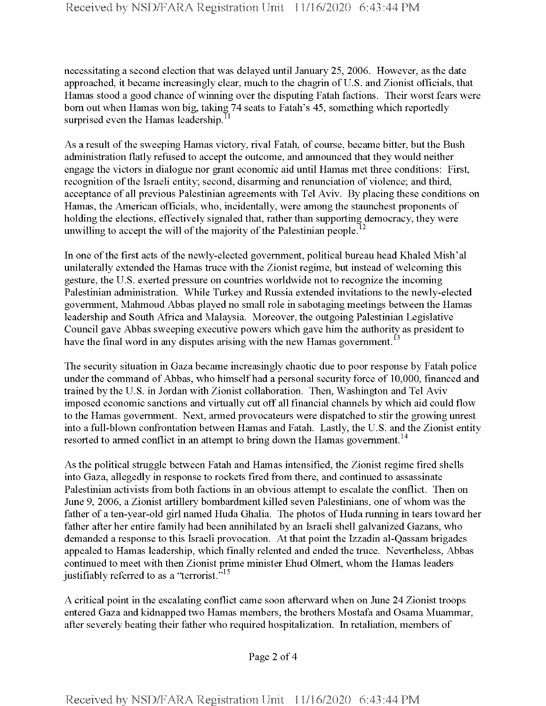necessitating a second election that was delayed until January 25, 2006. However, as the date approached, it became increasingly clear, much to the chagrin of U.S. and Zionist officials, that Hamas stood a good chance of winning over the disputing Fatah factions. Their worst fears were bom out when Hamas won big, taking 74 seats to Fatah's 45, something which reportedly surprised even the Hamas leadership. $^{11}$ 

As a result of the sweeping Hamas victory, rival Fatah, of course, became bitter, but the Bush administration flatly refused to accept the outcome, and announced that they would neither engage the victors in dialogue nor grant economic aid until Hamas met three conditions: First, recognition of the Israeli entity; second, disarming and renunciation of violence; and third, acceptance of all previous Palestinian agreements with Tel Aviv. By placing these conditions on Hamas, the American officials, who, incidentally, were among the staunchest proponents of holding the elections, effectively signaled that, rather than supporting democracy, they were unwilling to accept the will of the majority of the Palestinian people.<sup>12</sup>

In one of the first acts of the newly-elected government, political bureau head Khaled Mish'al unilaterally extended the Hamas truce with the Zionist regime, but instead of welcoming this gesture, the U.S. exerted pressure on countries worldwide not to recognize the incoming Palestinian administration. While Turkey and Russia extended invitations to the newly-elected government, Mahmoud Abbas played no small role in sabotaging meetings between the Hamas leadership and South Africa and Malaysia. Moreover, the outgoing Palestinian Legislative Council gave Abbas sweeping executive powers which gave him the authority as president to have the final word in any disputes arising with the new Hamas government.<sup>13</sup>

The security situation in Gaza became increasingly chaotic due to poor response by Fatah police under the command of Abbas, who himself had a personal security force of 10,000, financed and trained by the U.S. in Jordan with Zionist collaboration. Then, Washington and Tel Aviv imposed economic sanctions and virtually cut off all financial channels by which aid could flow to the Hamas government. Next, armed provocateurs were dispatched to stir the growing unrest into a full-blown confrontation between Hamas and Fatah. Lastly, the U.S. and the Zionist entity resorted to armed conflict in an attempt to bring down the Hamas government.<sup>14</sup>

As the political struggle between Fatah and Hamas intensified, the Zionist regime fired shells into Gaza, allegedly in response to rockets fired from there, and continued to assassinate Palestinian activists from both factions in an obvious attempt to escalate the conflict. Then on June 9, 2006, a Zionist artillery bombardment killed seven Palestinians, one ofwhom was the father of a ten-year-old girl named Huda Ghalia. The photos of Huda running in tears toward her father after her entire family had been annihilated by an Israeli shell galvanized Gazans, who demanded a response to this Israeli provocation. At that point the Izzadin al-Qassam brigades appealed to Hamas leadership, which finally relented and ended the truce. Nevertheless, Abbas continued to meet with then Zionist prime minister Ehud Olmert, whom the Hamas leaders justifiably referred to as a "terrorist."<sup>15</sup>

A critical point in the escalating conflict came soon afterward when on June 24 Zionist troops entered Gaza and kidnapped two Hamas members, the brothers Mostafa and Osama Muammar, after severely beating their father who required hospitalization. In retaliation, members of

Page 2 of 4

Received by NSD/FARA Registration Unit 11/16/2020 6:43:44 PM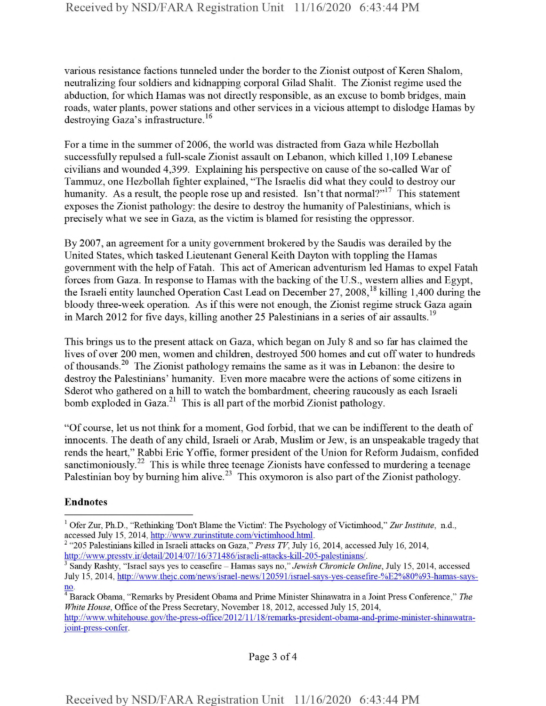various resistance factions tunneled under the border to the Zionist outpost of Keren Shalom, neutralizing four soldiers and kidnapping corporal Gilad Shalit. The Zionist regime used the abduction, for which Hamas was not directly responsible, as an excuse to bomb bridges, main roads, water plants, power stations and other services in a vicious attempt to dislodge Hamas by destroying Gaza's infrastructure.<sup>16</sup>

For a time in the summer of 2006, the world was distracted from Gaza while Hezbollah successfully repulsed a full-scale Zionist assault on Lebanon, which killed 1,109 Lebanese civilians and wounded 4,399. Explaining his perspective on cause ofthe so-called War of Tammuz, one Hezbollah fighter explained, "The Israelis did what they could to destroy our humanity. As a result, the people rose up and resisted. Isn't that normal?"<sup>17</sup> This statement exposes the Zionist pathology: the desire to destroy the humanity of Palestinians, which is precisely what we see in Gaza, as the victim is blamed for resisting the oppressor.

By 2007, an agreement for a unity government brokered by the Saudis was derailed by the United States, which tasked Lieutenant General Keith Dayton with toppling the Hamas government with the help of Fatah. This act of American adventurism led Hamas to expel Fatah forces from Gaza. In response to Hamas with the backing of the U.S., western allies and Egypt, the Israeli entity launched Operation Cast Lead on December 27, 2008,<sup>18</sup> killing 1,400 during the bloody three-week operation. As if this were not enough, the Zionist regime struck Gaza again in March 2012 for five days, killing another 25 Palestinians in a series of air assaults.<sup>19</sup>

This brings us to the present attack on Gaza, which began on July 8 and so far has claimed the lives of over 200 men, women and children, destroyed 500 homes and cut off water to hundreds of thousands.<sup>20</sup> The Zionist pathology remains the same as it was in Lebanon: the desire to destroy the Palestinians' humanity. Even more macabre were the actions of some citizens in Sderot who gathered on a hill to watch the bombardment, cheering raucously as each Israeli bomb exploded in Gaza. $^{21}$  This is all part of the morbid Zionist pathology.

"Of course, let us not think for a moment, God forbid, that we can be indifferent to the death of innocents. The death of any child, Israeli or Arab, Muslim or Jew, is an unspeakable tragedy that rends the heart," Rabbi Eric Yoffie, former president of the Union for Reform Judaism, confided sanctimoniously.<sup>22</sup> This is while three teenage Zionists have confessed to murdering a teenage Palestinian boy by burning him alive.<sup>23</sup> This oxymoron is also part of the Zionist pathology.

## Endnotes

Page 3 of 4

<sup>&</sup>lt;sup>1</sup> Ofer Zur, Ph.D., "Rethinking 'Don't Blame the Victim': The Psychology of Victimhood," Zur Institute, n.d., accessed July 15, 2014, http://www.zurinstitute.com/victimhood.html.

<sup>2</sup> "205 Palestinians killed in Israeli attacks on Gaza," *Press TV,* July 16, 2014, accessed July 16, 2014, http://www.presstv.ir/detail/2014/07/16/371486/israeli-attacks-kill-205-palestinians/.

<sup>3</sup> Sandy Rashty, "Israel says yes to ceasefire - Hamas says no," *Jewish Chronicle Online*, July 15, 2014, accessed July 15, 2014, http://www.theic.com/news/israel-news/120591/israel-savs-ves-ceasefire-%E2%80%93-hamas-saysno.

<sup>4</sup> Barack Obama, "Remarks by President Obama and Prime Minister Shinawatra in a Joint Press Conference," *The White House*, Office of the Press Secretary, November 18, 2012, accessed July 15, 2014, http://www.whitehouse.gov/the-press-office/2012/11/18/remarks-president-obama-and-prime-minister-shinawatrajoint-press-confer.